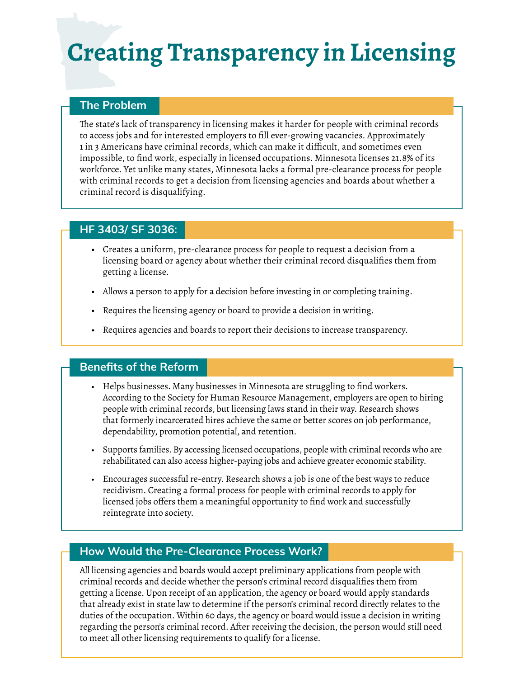# Creating Transparency in Licensing

## The Problem

The state's lack of transparency in licensing makes it harder for people with criminal records to access jobs and for interested employers to fill ever-growing vacancies. Approximately 1 in 3 Americans have criminal records, which can make it difficult, and sometimes even impossible, to find work, especially in licensed occupations. Minnesota licenses 21.8% of its workforce. Yet unlike many states, Minnesota lacks a formal pre-clearance process for people with criminal records to get a decision from licensing agencies and boards about whether a criminal record is disqualifying.

## HF 3403/ SF 3036:

- Creates a uniform, pre-clearance process for people to request a decision from a licensing board or agency about whether their criminal record disqualifies them from getting a license.
- Allows a person to apply for a decision before investing in or completing training.
- Requires the licensing agency or board to provide a decision in writing.
- Requires agencies and boards to report their decisions to increase transparency.

#### Benefits of the Reform

- Helps businesses. Many businesses in Minnesota are struggling to find workers. According to the Society for Human Resource Management, employers are open to hiring people with criminal records, but licensing laws stand in their way. Research shows that formerly incarcerated hires achieve the same or better scores on job performance, dependability, promotion potential, and retention.
- Supports families. By accessing licensed occupations, people with criminal records who are rehabilitated can also access higher-paying jobs and achieve greater economic stability.
- Encourages successful re-entry. Research shows a job is one of the best ways to reduce recidivism. Creating a formal process for people with criminal records to apply for licensed jobs offers them a meaningful opportunity to find work and successfully reintegrate into society.

## How Would the Pre-Clearance Process Work?

All licensing agencies and boards would accept preliminary applications from people with criminal records and decide whether the person's criminal record disqualifies them from getting a license. Upon receipt of an application, the agency or board would apply standards that already exist in state law to determine if the person's criminal record directly relates to the duties of the occupation. Within 60 days, the agency or board would issue a decision in writing regarding the person's criminal record. After receiving the decision, the person would still need to meet all other licensing requirements to qualify for a license.